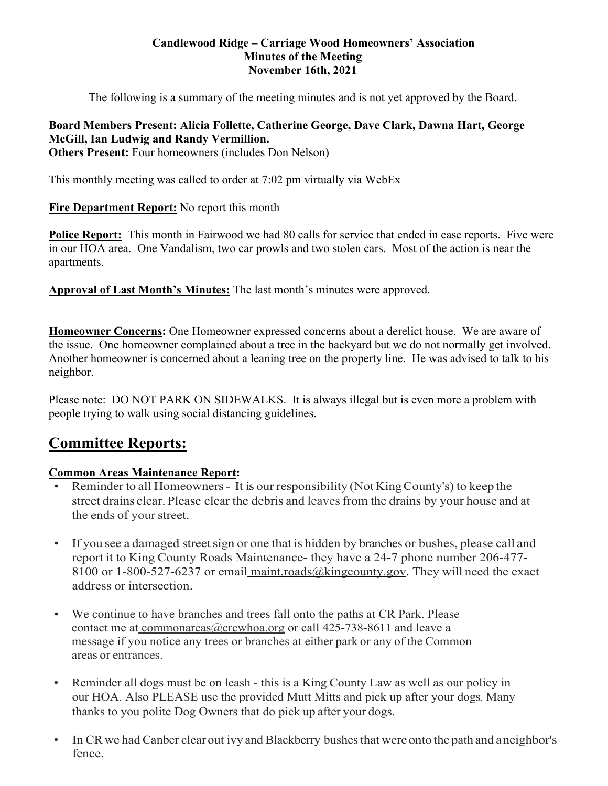### **Candlewood Ridge – Carriage Wood Homeowners' Association Minutes of the Meeting November 16th, 2021**

The following is a summary of the meeting minutes and is not yet approved by the Board.

# **Board Members Present: Alicia Follette, Catherine George, Dave Clark, Dawna Hart, George McGill, Ian Ludwig and Randy Vermillion.**

**Others Present:** Four homeowners (includes Don Nelson)

This monthly meeting was called to order at 7:02 pm virtually via WebEx

# **Fire Department Report:** No report this month

**Police Report:** This month in Fairwood we had 80 calls for service that ended in case reports. Five were in our HOA area. One Vandalism, two car prowls and two stolen cars. Most of the action is near the apartments.

**Approval of Last Month's Minutes:** The last month's minutes were approved.

**Homeowner Concerns:** One Homeowner expressed concerns about a derelict house. We are aware of the issue. One homeowner complained about a tree in the backyard but we do not normally get involved. Another homeowner is concerned about a leaning tree on the property line. He was advised to talk to his neighbor.

Please note: DO NOT PARK ON SIDEWALKS. It is always illegal but is even more a problem with people trying to walk using social distancing guidelines.

# **Committee Reports:**

# **Common Areas Maintenance Report:**

- Reminder to all Homeowners It is our responsibility (Not King County's) to keep the street drains clear. Please clear the debris and leaves from the drains by your house and at the ends of your street.
- If you see a damaged street sign or one that is hidden by branches or bushes, please call and report it to King County Roads Maintenance- they have a 24-7 phone number 206-477- 8100 or 1-800-527-6237 or email maint.roads $@kingcounty.gov$ . They will need the exact address or intersection.
- We continue to have branches and trees fall onto the paths at CR Park. Please contact me at commonareas@crcwhoa.org or call 425-738-8611 and leave a message if you notice any trees or branches at either park or any of the Common areas or entrances.
- Reminder all dogs must be on leash this is a King County Law as well as our policy in our HOA. Also PLEASE use the provided Mutt Mitts and pick up after your dogs. Many thanks to you polite Dog Owners that do pick up after your dogs.
- In CR we had Canber clear out ivy and Blackberry bushes that were onto the path and aneighbor's fence.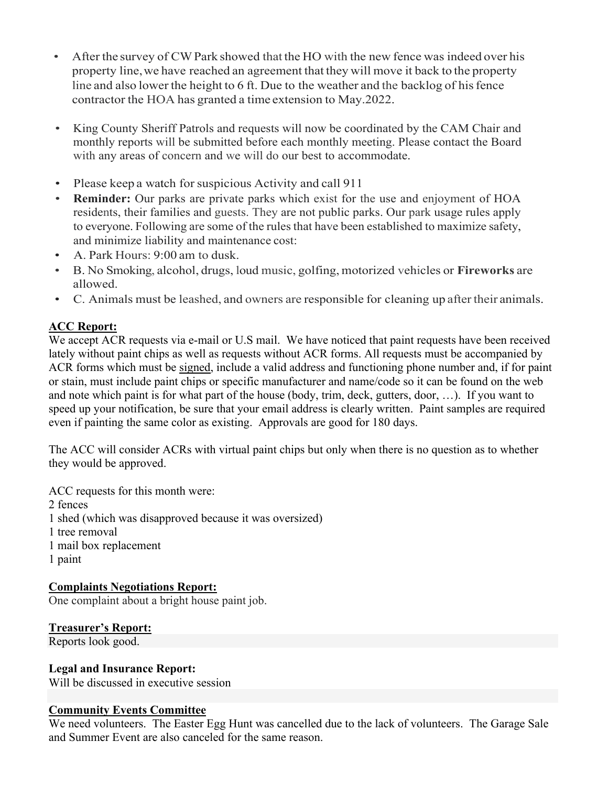- After the survey of CW Park showed that the HO with the new fence was indeed over his property line, we have reached an agreement that they will move it back to the property line and also lower the height to 6 ft. Due to the weather and the backlog of his fence contractor the HOA has granted a time extension to May.2022.
- King County Sheriff Patrols and requests will now be coordinated by the CAM Chair and monthly reports will be submitted before each monthly meeting. Please contact the Board with any areas of concern and we will do our best to accommodate.
- Please keep a watch for suspicious Activity and call 911
- **Reminder:** Our parks are private parks which exist for the use and enjoyment of HOA residents, their families and guests. They are not public parks. Our park usage rules apply to everyone. Following are some of the rules that have been established to maximize safety, and minimize liability and maintenance cost:
- A. Park Hours: 9:00 am to dusk.
- B. No Smoking, alcohol, drugs, loud music, golfing, motorized vehicles or **Fireworks** are allowed.
- C. Animals must be leashed, and owners are responsible for cleaning up after their animals.

# **ACC Report:**

We accept ACR requests via e-mail or U.S mail. We have noticed that paint requests have been received lately without paint chips as well as requests without ACR forms. All requests must be accompanied by ACR forms which must be signed, include a valid address and functioning phone number and, if for paint or stain, must include paint chips or specific manufacturer and name/code so it can be found on the web and note which paint is for what part of the house (body, trim, deck, gutters, door, …). If you want to speed up your notification, be sure that your email address is clearly written. Paint samples are required even if painting the same color as existing. Approvals are good for 180 days.

The ACC will consider ACRs with virtual paint chips but only when there is no question as to whether they would be approved.

ACC requests for this month were: 2 fences 1 shed (which was disapproved because it was oversized) 1 tree removal 1 mail box replacement 1 paint

# **Complaints Negotiations Report:**

One complaint about a bright house paint job.

**Treasurer's Report:**

Reports look good.

# **Legal and Insurance Report:**

Will be discussed in executive session

# **Community Events Committee**

We need volunteers. The Easter Egg Hunt was cancelled due to the lack of volunteers. The Garage Sale and Summer Event are also canceled for the same reason.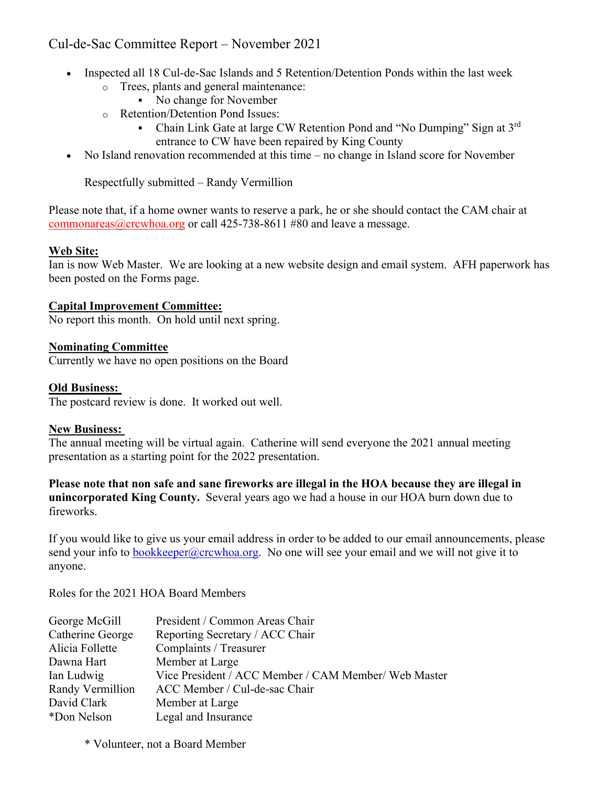# Cul-de-Sac Committee Report – November 2021

- Inspected all 18 Cul-de-Sac Islands and 5 Retention/Detention Ponds within the last week
	- o Trees, plants and general maintenance:
		- No change for November
	- o Retention/Detention Pond Issues:
		- Chain Link Gate at large CW Retention Pond and "No Dumping" Sign at  $3<sup>rd</sup>$ entrance to CW have been repaired by King County
- No Island renovation recommended at this time no change in Island score for November

Respectfully submitted – Randy Vermillion

Please note that, if a home owner wants to reserve a park, he or she should contact the CAM chair at commonareas  $@$ crcwhoa.org or call 425-738-8611 #80 and leave a message.

#### **Web Site:**

Ian is now Web Master. We are looking at a new website design and email system. AFH paperwork has been posted on the Forms page.

### **Capital Improvement Committee:**

No report this month. On hold until next spring.

### **Nominating Committee**

Currently we have no open positions on the Board

#### **Old Business:**

The postcard review is done. It worked out well.

#### **New Business:**

The annual meeting will be virtual again. Catherine will send everyone the 2021 annual meeting presentation as a starting point for the 2022 presentation.

**Please note that non safe and sane fireworks are illegal in the HOA because they are illegal in unincorporated King County.** Several years ago we had a house in our HOA burn down due to fireworks.

If you would like to give us your email address in order to be added to our email announcements, please send your info to bookkeeper@crcwhoa.org. No one will see your email and we will not give it to anyone.

Roles for the 2021 HOA Board Members

| George McGill    | President / Common Areas Chair                       |
|------------------|------------------------------------------------------|
| Catherine George | Reporting Secretary / ACC Chair                      |
| Alicia Follette  | Complaints / Treasurer                               |
| Dawna Hart       | Member at Large                                      |
| Ian Ludwig       | Vice President / ACC Member / CAM Member/ Web Master |
| Randy Vermillion | ACC Member / Cul-de-sac Chair                        |
| David Clark      | Member at Large                                      |
| *Don Nelson      | Legal and Insurance                                  |
|                  |                                                      |

\* Volunteer, not a Board Member